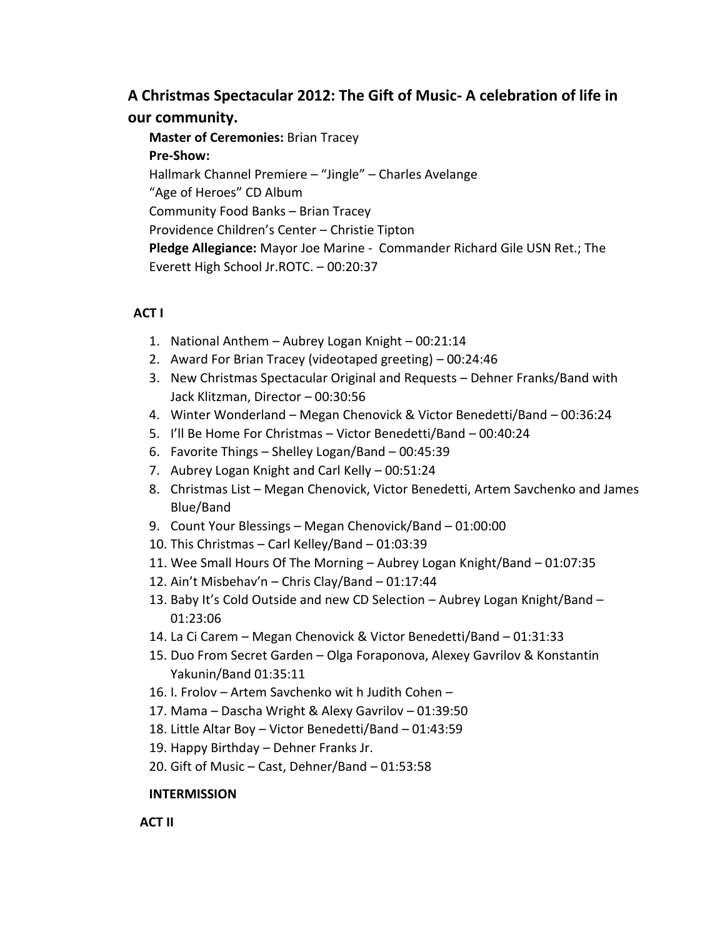## **A Christmas Spectacular 2012: The Gift of Music- A celebration of life in our community.**

**Master of Ceremonies:** Brian Tracey **Pre-Show:** Hallmark Channel Premiere – "Jingle" – Charles Avelange "Age of Heroes" CD Album Community Food Banks – Brian Tracey Providence Children's Center – Christie Tipton **Pledge Allegiance:** Mayor Joe Marine - Commander Richard Gile USN Ret.; The Everett High School Jr.ROTC. – 00:20:37

## **ACT I**

- 1. National Anthem Aubrey Logan Knight 00:21:14
- 2. Award For Brian Tracey (videotaped greeting) 00:24:46
- 3. New Christmas Spectacular Original and Requests Dehner Franks/Band with Jack Klitzman, Director – 00:30:56
- 4. Winter Wonderland Megan Chenovick & Victor Benedetti/Band 00:36:24
- 5. I'll Be Home For Christmas Victor Benedetti/Band 00:40:24
- 6. Favorite Things Shelley Logan/Band 00:45:39
- 7. Aubrey Logan Knight and Carl Kelly 00:51:24
- 8. Christmas List Megan Chenovick, Victor Benedetti, Artem Savchenko and James Blue/Band
- 9. Count Your Blessings Megan Chenovick/Band 01:00:00
- 10. This Christmas Carl Kelley/Band 01:03:39
- 11. Wee Small Hours Of The Morning Aubrey Logan Knight/Band 01:07:35
- 12. Ain't Misbehav'n Chris Clay/Band 01:17:44
- 13. Baby It's Cold Outside and new CD Selection Aubrey Logan Knight/Band 01:23:06
- 14. La Ci Carem Megan Chenovick & Victor Benedetti/Band 01:31:33
- 15. Duo From Secret Garden Olga Foraponova, Alexey Gavrilov & Konstantin Yakunin/Band 01:35:11
- 16. I. Frolov Artem Savchenko wit h Judith Cohen –
- 17. Mama Dascha Wright & Alexy Gavrilov 01:39:50
- 18. Little Altar Boy Victor Benedetti/Band 01:43:59
- 19. Happy Birthday Dehner Franks Jr.
- 20. Gift of Music Cast, Dehner/Band 01:53:58

## **INTERMISSION**

 **ACT II**